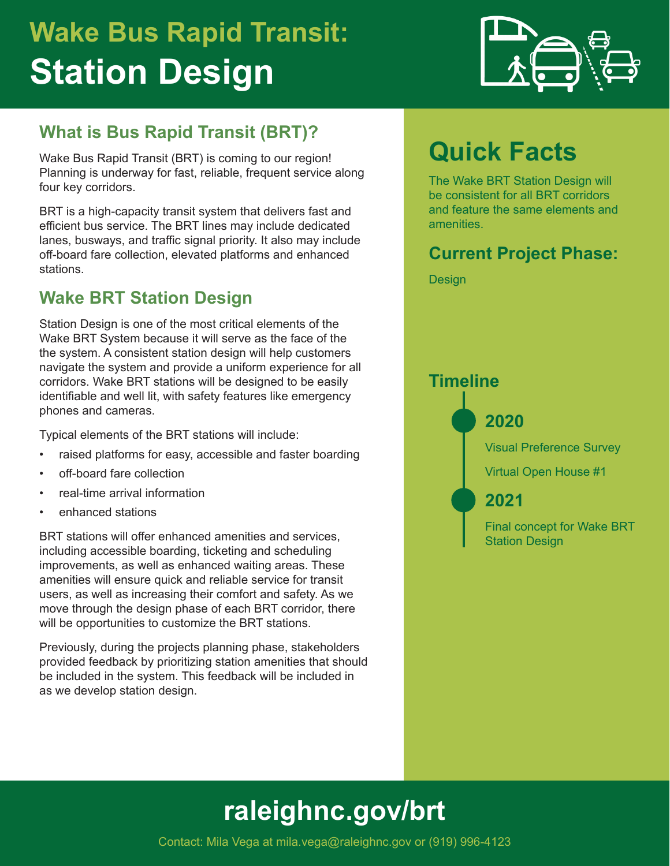# **Wake Bus Rapid Transit: Station Design**

### **What is Bus Rapid Transit (BRT)?**

Wake Bus Rapid Transit (BRT) is coming to our region! Planning is underway for fast, reliable, frequent service along four key corridors.

BRT is a high-capacity transit system that delivers fast and efficient bus service. The BRT lines may include dedicated lanes, busways, and traffic signal priority. It also may include off-board fare collection, elevated platforms and enhanced stations.

### **Wake BRT Station Design**

Station Design is one of the most critical elements of the Wake BRT System because it will serve as the face of the the system. A consistent station design will help customers navigate the system and provide a uniform experience for all corridors. Wake BRT stations will be designed to be easily identifiable and well lit, with safety features like emergency phones and cameras.

Typical elements of the BRT stations will include:

- raised platforms for easy, accessible and faster boarding
- off-board fare collection
- real-time arrival information
- enhanced stations

BRT stations will offer enhanced amenities and services, including accessible boarding, ticketing and scheduling improvements, as well as enhanced waiting areas. These amenities will ensure quick and reliable service for transit users, as well as increasing their comfort and safety. As we move through the design phase of each BRT corridor, there will be opportunities to customize the BRT stations.

Previously, during the projects planning phase, stakeholders provided feedback by prioritizing station amenities that should be included in the system. This feedback will be included in as we develop station design.



## **Quick Facts**

The Wake BRT Station Design will be consistent for all BRT corridors and feature the same elements and amenities.

#### **Current Project Phase:**

Design



## **[raleighnc.gov/](http://raleighnc.gov/bus-rapid-transit)brt**

Contact: Mila Vega at mila.vega@raleighnc.gov or (919) 996-4123